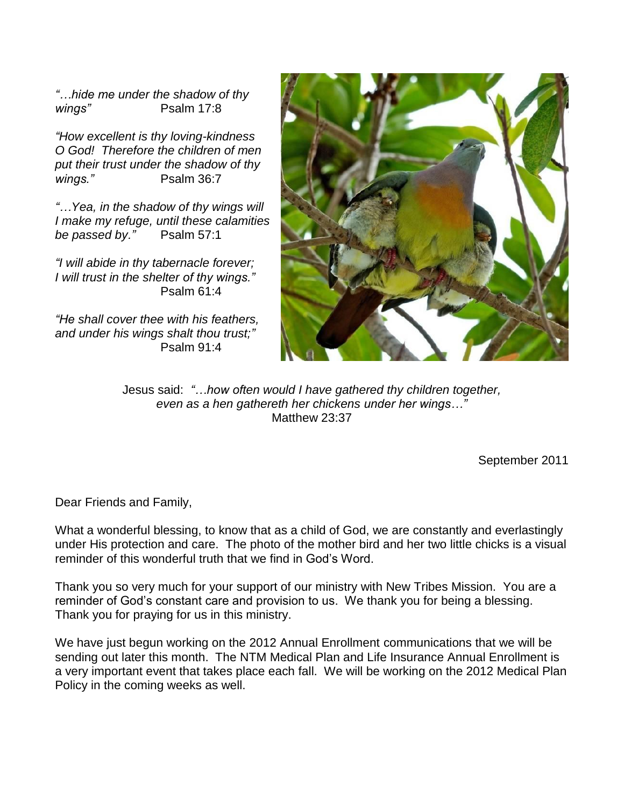*"…hide me under the shadow of thy wings"* Psalm 17:8

*"How excellent is thy loving-kindness O God! Therefore the children of men put their trust under the shadow of thy wings."* Psalm 36:7

*"…Yea, in the shadow of thy wings will I make my refuge, until these calamities be passed by."* Psalm 57:1

*"I will abide in thy tabernacle forever; I will trust in the shelter of thy wings."* Psalm 61:4

*"He shall cover thee with his feathers, and under his wings shalt thou trust;"* Psalm 91:4



Jesus said: *"…how often would I have gathered thy children together, even as a hen gathereth her chickens under her wings…"* Matthew 23:37

September 2011

Dear Friends and Family,

What a wonderful blessing, to know that as a child of God, we are constantly and everlastingly under His protection and care. The photo of the mother bird and her two little chicks is a visual reminder of this wonderful truth that we find in God's Word.

Thank you so very much for your support of our ministry with New Tribes Mission. You are a reminder of God's constant care and provision to us. We thank you for being a blessing. Thank you for praying for us in this ministry.

We have just begun working on the 2012 Annual Enrollment communications that we will be sending out later this month. The NTM Medical Plan and Life Insurance Annual Enrollment is a very important event that takes place each fall. We will be working on the 2012 Medical Plan Policy in the coming weeks as well.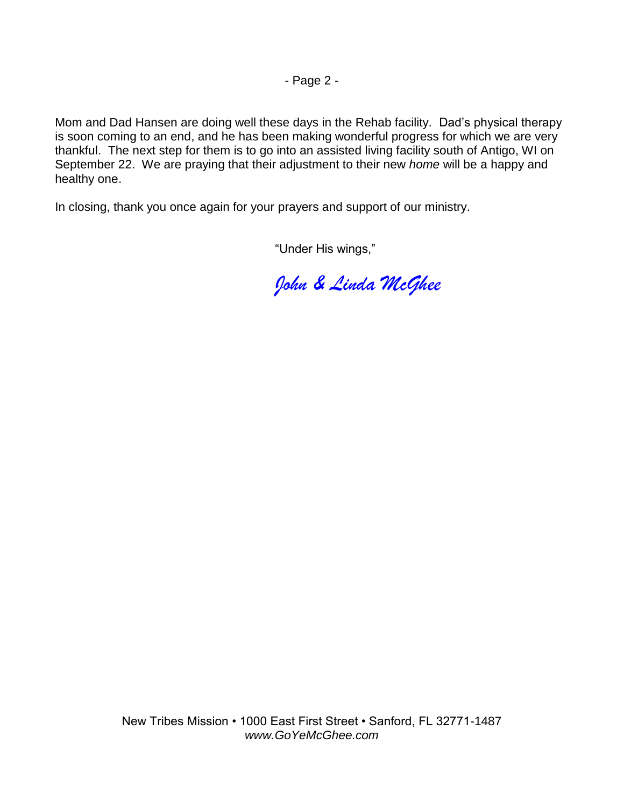- Page 2 -

Mom and Dad Hansen are doing well these days in the Rehab facility. Dad's physical therapy is soon coming to an end, and he has been making wonderful progress for which we are very thankful. The next step for them is to go into an assisted living facility south of Antigo, WI on September 22. We are praying that their adjustment to their new *home* will be a happy and healthy one.

In closing, thank you once again for your prayers and support of our ministry.

"Under His wings,"

*John & Linda McGhee*